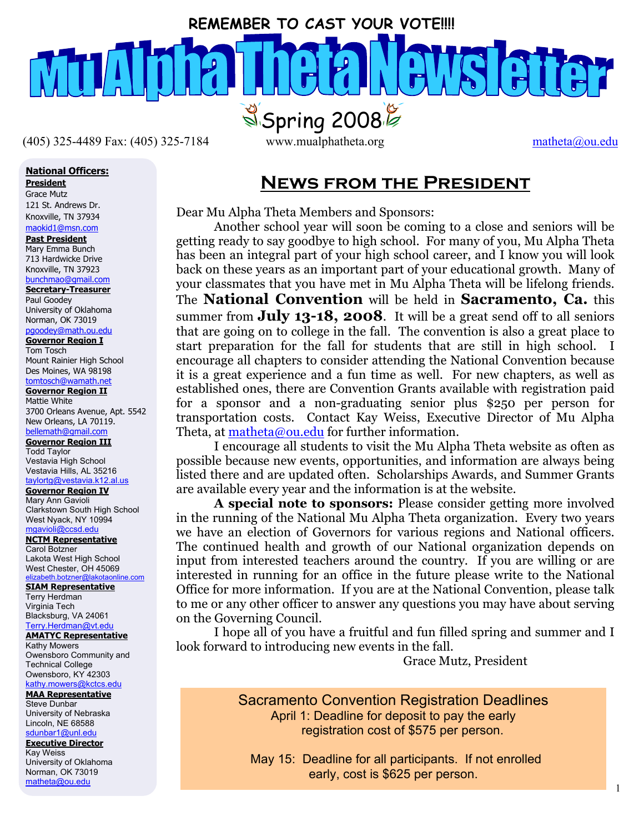# **REMEMBER TO CAST YOUR VOTE!!!!**   $S<sub>5</sub>$ Spring 2008

 $(405)$  325-4489 Fax: (405) 325-7184 www.mualphatheta.org matheta@ou.edu

## **National Officers:**

**President**

Grace Mutz 121 St. Andrews Dr. Knoxville, TN 37934 maokid1@msn.com

#### **Past President**

Mary Emma Bunch 713 Hardwicke Drive Knoxville, TN 37923 bunchmao@gmail.com

**Secretary-Treasurer** Paul Goodey

University of Oklahoma Norman, OK 73019 pgoodey@math.ou.edu

#### **Governor Region I**

Tom Tosch Mount Rainier High School Des Moines, WA 98198 tomtosch@wamath.net

**Governor Region II**

 Mattie White 3700 Orleans Avenue, Apt. 5542 New Orleans, LA 70119. bellemath@gmail.com

**Governor Region III**

Todd Taylor Vestavia High School Vestavia Hills, AL 35216 taylortg@vestavia.k12.al.us

#### **Governor Region IV**

Mary Ann Gavioli Clarkstown South High School West Nyack, NY 10994

mgavioli@ccsd.edu **NCTM Representative** Carol Botzner

Lakota West High School West Chester, OH 45069 elizabeth.botzner@lakotaonline.com

#### **SIAM Representative**

Terry Herdman Virginia Tech Blacksburg, VA 24061 Terry.Herdman@vt.edu

#### **AMATYC Representative**

Kathy Mowers Owensboro Community and Technical College Owensboro, KY 42303 kathy.mowers@kctcs.edu

#### **MAA Representative**

Steve Dunbar University of Nebraska Lincoln, NE 68588 sdunbar1@unl.edu

#### **Executive Director** Kay Weiss

University of Oklahoma Norman, OK 73019 matheta@ou.edu

# **News from the President**

Dear Mu Alpha Theta Members and Sponsors:

Another school year will soon be coming to a close and seniors will be getting ready to say goodbye to high school. For many of you, Mu Alpha Theta has been an integral part of your high school career, and I know you will look back on these years as an important part of your educational growth. Many of your classmates that you have met in Mu Alpha Theta will be lifelong friends. The **National Convention** will be held in **Sacramento, Ca.** this summer from **July 13-18, 2008**. It will be a great send off to all seniors that are going on to college in the fall. The convention is also a great place to start preparation for the fall for students that are still in high school. I encourage all chapters to consider attending the National Convention because it is a great experience and a fun time as well. For new chapters, as well as established ones, there are Convention Grants available with registration paid for a sponsor and a non-graduating senior plus \$250 per person for transportation costs. Contact Kay Weiss, Executive Director of Mu Alpha Theta, at matheta@ou.edu for further information.

I encourage all students to visit the Mu Alpha Theta website as often as possible because new events, opportunities, and information are always being listed there and are updated often. Scholarships Awards, and Summer Grants are available every year and the information is at the website.

**A special note to sponsors:** Please consider getting more involved in the running of the National Mu Alpha Theta organization. Every two years we have an election of Governors for various regions and National officers. The continued health and growth of our National organization depends on input from interested teachers around the country. If you are willing or are interested in running for an office in the future please write to the National Office for more information. If you are at the National Convention, please talk to me or any other officer to answer any questions you may have about serving on the Governing Council.

I hope all of you have a fruitful and fun filled spring and summer and I look forward to introducing new events in the fall.

Grace Mutz, President

Sacramento Convention Registration Deadlines April 1: Deadline for deposit to pay the early registration cost of \$575 per person.

 May 15: Deadline for all participants. If not enrolled early, cost is \$625 per person.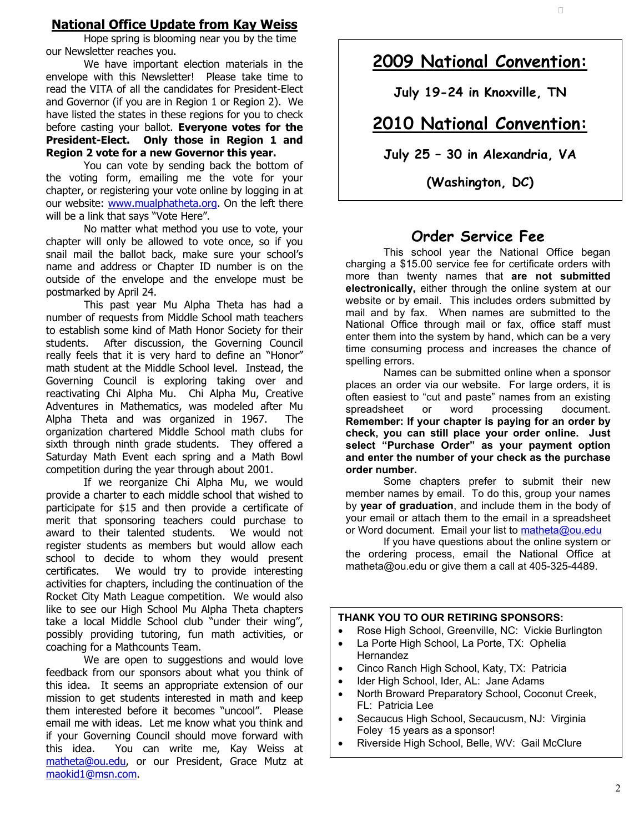#### **National Office Update from Kay Weiss**

Hope spring is blooming near you by the time our Newsletter reaches you.

We have important election materials in the envelope with this Newsletter! Please take time to read the VITA of all the candidates for President-Elect and Governor (if you are in Region 1 or Region 2). We have listed the states in these regions for you to check before casting your ballot. **Everyone votes for the President-Elect. Only those in Region 1 and Region 2 vote for a new Governor this year.** 

You can vote by sending back the bottom of the voting form, emailing me the vote for your chapter, or registering your vote online by logging in at our website: www.mualphatheta.org. On the left there will be a link that says "Vote Here".

No matter what method you use to vote, your chapter will only be allowed to vote once, so if you snail mail the ballot back, make sure your school's name and address or Chapter ID number is on the outside of the envelope and the envelope must be postmarked by April 24.

This past year Mu Alpha Theta has had a number of requests from Middle School math teachers to establish some kind of Math Honor Society for their students. After discussion, the Governing Council really feels that it is very hard to define an "Honor" math student at the Middle School level. Instead, the Governing Council is exploring taking over and reactivating Chi Alpha Mu. Chi Alpha Mu, Creative Adventures in Mathematics, was modeled after Mu Alpha Theta and was organized in 1967. The organization chartered Middle School math clubs for sixth through ninth grade students. They offered a Saturday Math Event each spring and a Math Bowl competition during the year through about 2001.

 award to their talented students. We would not register students as members but would allow each If we reorganize Chi Alpha Mu, we would provide a charter to each middle school that wished to participate for \$15 and then provide a certificate of merit that sponsoring teachers could purchase to school to decide to whom they would present certificates. We would try to provide interesting activities for chapters, including the continuation of the Rocket City Math League competition. We would also like to see our High School Mu Alpha Theta chapters take a local Middle School club "under their wing", possibly providing tutoring, fun math activities, or coaching for a Mathcounts Team.

We are open to suggestions and would love feedback from our sponsors about what you think of this idea. It seems an appropriate extension of our mission to get students interested in math and keep them interested before it becomes "uncool". Please email me with ideas. Let me know what you think and if your Governing Council should move forward with this idea. You can write me, Kay Weiss at matheta@ou.edu, or our President, Grace Mutz at maokid1@msn.com.

# **2009 National Convention:**

**July 19-24 in Knoxville, TN**

# **2010 National Convention:**

**July 25 – 30 in Alexandria, VA** 

**(Washington, DC)**

# **Order Service Fee**

This school year the National Office began charging a \$15.00 service fee for certificate orders with more than twenty names that **are not submitted electronically,** either through the online system at our website or by email. This includes orders submitted by mail and by fax. When names are submitted to the National Office through mail or fax, office staff must enter them into the system by hand, which can be a very time consuming process and increases the chance of spelling errors.

Names can be submitted online when a sponsor places an order via our website. For large orders, it is often easiest to "cut and paste" names from an existing<br>spreadsheet or word processing document. spreadsheet or word processing document. **Remember: If your chapter is paying for an order by check, you can still place your order online. Just select "Purchase Order" as your payment option and enter the number of your check as the purchase order number.**

Some chapters prefer to submit their new member names by email. To do this, group your names by **year of graduation**, and include them in the body of your email or attach them to the email in a spreadsheet or Word document. Email your list to matheta@ou.edu

If you have questions about the online system or the ordering process, email the National Office at matheta@ou.edu or give them a call at 405-325-4489.

#### **THANK YOU TO OUR RETIRING SPONSORS:**

- Rose High School, Greenville, NC: Vickie Burlington
- La Porte High School, La Porte, TX: Ophelia Hernandez
- Cinco Ranch High School, Katy, TX: Patricia
- Ider High School, Ider, AL: Jane Adams
- North Broward Preparatory School, Coconut Creek, FL: Patricia Lee
- Secaucus High School, Secaucusm, NJ: Virginia Foley 15 years as a sponsor!
- Riverside High School, Belle, WV: Gail McClure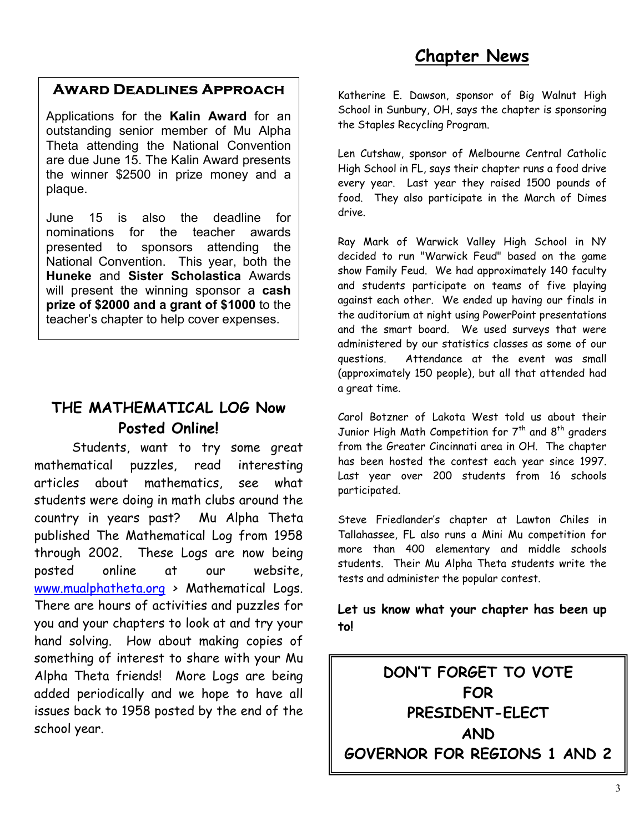# **Chapter News**

# **Award Deadlines Approach**

Applications for the **Kalin Award** for an outstanding senior member of Mu Alpha Theta attending the National Convention are due June 15. The Kalin Award presents the winner \$2500 in prize money and a plaque.

June 15 is also the deadline for nominations for the teacher awards presented to sponsors attending the National Convention. This year, both the **Huneke** and **Sister Scholastica** Awards will present the winning sponsor a **cash prize of \$2000 and a grant of \$1000** to the teacher's chapter to help cover expenses.

# **THE MATHEMATICAL LOG Now Posted Online!**

 Students, want to try some great mathematical puzzles, read interesting articles about mathematics, see what students were doing in math clubs around the country in years past? Mu Alpha Theta published The Mathematical Log from 1958 through 2002. These Logs are now being posted online at our website, www.mualphatheta.org > Mathematical Logs. There are hours of activities and puzzles for you and your chapters to look at and try your hand solving. How about making copies of something of interest to share with your Mu Alpha Theta friends! More Logs are being added periodically and we hope to have all issues back to 1958 posted by the end of the school year.

Katherine E. Dawson, sponsor of Big Walnut High School in Sunbury, OH, says the chapter is sponsoring the Staples Recycling Program.

Len Cutshaw, sponsor of Melbourne Central Catholic High School in FL, says their chapter runs a food drive every year. Last year they raised 1500 pounds of food. They also participate in the March of Dimes drive.

Ray Mark of Warwick Valley High School in NY decided to run "Warwick Feud" based on the game show Family Feud. We had approximately 140 faculty and students participate on teams of five playing against each other. We ended up having our finals in the auditorium at night using PowerPoint presentations and the smart board. We used surveys that were administered by our statistics classes as some of our questions. Attendance at the event was small (approximately 150 people), but all that attended had a great time.

Carol Botzner of Lakota West told us about their Junior High Math Competition for  $7<sup>th</sup>$  and  $8<sup>th</sup>$  graders from the Greater Cincinnati area in OH. The chapter has been hosted the contest each year since 1997. Last year over 200 students from 16 schools participated.

Steve Friedlander's chapter at Lawton Chiles in Tallahassee, FL also runs a Mini Mu competition for more than 400 elementary and middle schools students. Their Mu Alpha Theta students write the tests and administer the popular contest.

# **Let us know what your chapter has been up to!**

**DON'T FORGET TO VOTE FOR PRESIDENT-ELECT AND GOVERNOR FOR REGIONS 1 AND 2**